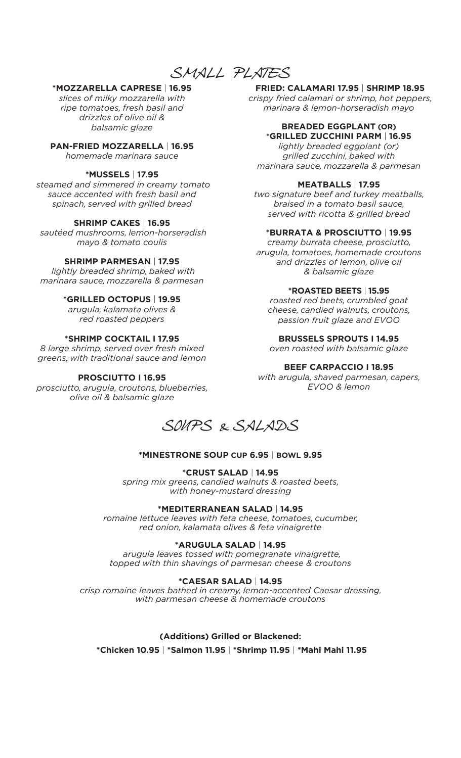*SMALL PLATES*

# **\*MOZZARELLA CAPRESE** | **16.95**

*slices of milky mozzarella with ripe tomatoes, fresh basil and drizzles of olive oil & balsamic glaze*

**PAN-FRIED MOZZARELLA** | **16.95**

*homemade marinara sauce*

### **\*MUSSELS** | **17.95**

 *steamed and simmered in creamy tomato sauce accented with fresh basil and spinach, served with grilled bread* 

### **SHRIMP CAKES** | **16.95**

 *sautéed mushrooms, lemon-horseradish mayo & tomato coulis*

### **SHRIMP PARMESAN** | **17.95**

*lightly breaded shrimp, baked with marinara sauce, mozzarella & parmesan*

### **\*GRILLED OCTOPUS** | **19.95**

*arugula, kalamata olives & red roasted peppers*

### **\*SHRIMP COCKTAIL I 17.95**

*8 large shrimp, served over fresh mixed greens, with traditional sauce and lemon*

### **PROSCIUTTO I 16.95**

*prosciutto, arugula, croutons, blueberries, olive oil & balsamic glaze*

**FRIED: CALAMARI 17.95** | **SHRIMP 18.95**  *crispy fried calamari or shrimp, hot peppers, marinara & lemon-horseradish mayo*

### **BREADED EGGPLANT (OR) \*GRILLED ZUCCHINI PARM** | **16.95**

*lightly breaded eggplant (or) grilled zucchini, baked with marinara sauce, mozzarella & parmesan*

### **MEATBALLS** | **17.95**

*two signature beef and turkey meatballs, braised in a tomato basil sauce, served with ricotta & grilled bread*

### **\*BURRATA & PROSCIUTTO** | **19.95**

*creamy burrata cheese, prosciutto, arugula, tomatoes, homemade croutons and drizzles of lemon, olive oil & balsamic glaze*

### **\*ROASTED BEETS** | **15.95**

*roasted red beets, crumbled goat cheese, candied walnuts, croutons, passion fruit glaze and EVOO*

### **BRUSSELS SPROUTS I 14.95**

*oven roasted with balsamic glaze*

### **BEEF CARPACCIO I 18.95**

*with arugula, shaved parmesan, capers, EVOO & lemon*



### **\*MINESTRONE SOUP CUP 6.95** | **BOWL 9.95**

### **\*CRUST SALAD** | **14.95**

*spring mix greens, candied walnuts & roasted beets, with honey-mustard dressing* 

### **\*MEDITERRANEAN SALAD** | **14.95**

*romaine lettuce leaves with feta cheese, tomatoes, cucumber, red onion, kalamata olives & feta vinaigrette*

### **\*ARUGULA SALAD** | **14.95**

 *arugula leaves tossed with pomegranate vinaigrette, topped with thin shavings of parmesan cheese & croutons* 

### **\*CAESAR SALAD** | **14.95**

*crisp romaine leaves bathed in creamy, lemon-accented Caesar dressing, with parmesan cheese & homemade croutons* 

# **(Additions) Grilled or Blackened:**

 **\*Chicken 10.95** | **\*Salmon 11.95** | **\*Shrimp 11.95** | **\*Mahi Mahi 11.95**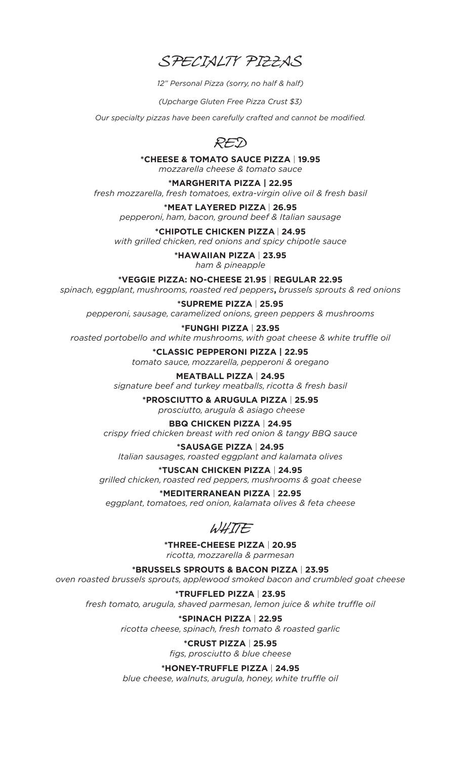*SPECIALTY PIZZAS*

*12" Personal Pizza (sorry, no half & half)*

*(Upcharge Gluten Free Pizza Crust \$3)*

*Our specialty pizzas have been carefully crafted and cannot be modified.*



**\*CHEESE & TOMATO SAUCE PIZZA** | **19.95**  *mozzarella cheese & tomato sauce*

**\*MARGHERITA PIZZA | 22.95** 

*fresh mozzarella, fresh tomatoes, extra-virgin olive oil & fresh basil*

**\*MEAT LAYERED PIZZA** | **26.95** *pepperoni, ham, bacon, ground beef & Italian sausage*

**\*CHIPOTLE CHICKEN PIZZA** | **24.95** *with grilled chicken, red onions and spicy chipotle sauce*

> **\*HAWAIIAN PIZZA** | **23.95** *ham & pineapple*

**\*VEGGIE PIZZA: NO-CHEESE 21.95** | **REGULAR 22.95** *spinach, eggplant, mushrooms, roasted red peppers***,** *brussels sprouts & red onions* 

**\*SUPREME PIZZA** | **25.95** *pepperoni, sausage, caramelized onions, green peppers & mushrooms*

**\*FUNGHI PIZZA** | **23.95** *roasted portobello and white mushrooms, with goat cheese & white truffle oil*

> **\*CLASSIC PEPPERONI PIZZA | 22.95** *tomato sauce, mozzarella, pepperoni & oregano*

**MEATBALL PIZZA** | **24.95** *signature beef and turkey meatballs, ricotta & fresh basil*

**\*PROSCIUTTO & ARUGULA PIZZA** | **25.95**  *prosciutto, arugula & asiago cheese*

# **BBQ CHICKEN PIZZA** | **24.95**

*crispy fried chicken breast with red onion & tangy BBQ sauce*

**\*SAUSAGE PIZZA** | **24.95** *Italian sausages, roasted eggplant and kalamata olives*

# **\*TUSCAN CHICKEN PIZZA** | **24.95**

*grilled chicken, roasted red peppers, mushrooms & goat cheese*

# **\*MEDITERRANEAN PIZZA** | **22.95**

*eggplant, tomatoes, red onion, kalamata olives & feta cheese*

*WHITE* 

**\*THREE-CHEESE PIZZA** | **20.95**

*ricotta, mozzarella & parmesan*

**\*BRUSSELS SPROUTS & BACON PIZZA** | **23.95** *oven roasted brussels sprouts, applewood smoked bacon and crumbled goat cheese*

**\*TRUFFLED PIZZA** | **23.95**

*fresh tomato, arugula, shaved parmesan, lemon juice & white truffle oil*

**\*SPINACH PIZZA** | **22.95**

*ricotta cheese, spinach, fresh tomato & roasted garlic*

# **\*CRUST PIZZA** | **25.95**

*figs, prosciutto & blue cheese*

**\*HONEY-TRUFFLE PIZZA** | **24.95**

*blue cheese, walnuts, arugula, honey, white truffle oil*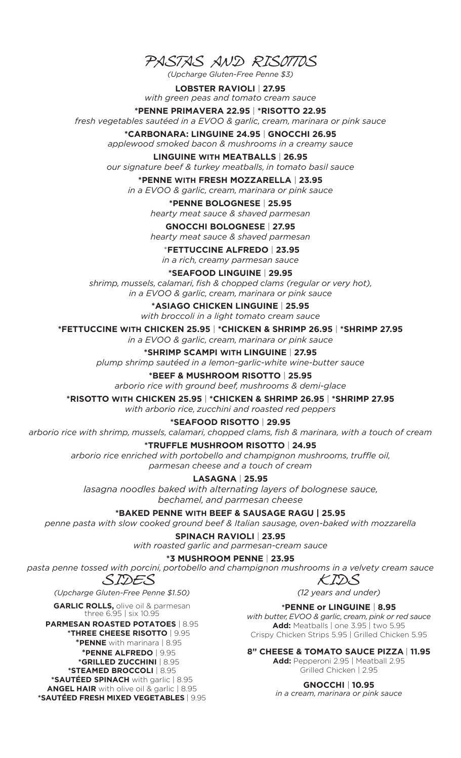*PASTAS AND RISOTTOS*

*(Upcharge Gluten-Free Penne \$3)*

**LOBSTER RAVIOLI** | **27.95** *with green peas and tomato cream sauce*

#### **\*PENNE PRIMAVERA 22.95** | **\*RISOTTO 22.95** *fresh vegetables sautéed in a EVOO & garlic, cream, marinara or pink sauce*

**\*CARBONARA: LINGUINE 24.95** | **GNOCCHI 26.95** *applewood smoked bacon & mushrooms in a creamy sauce*

### **LINGUINE WITH MEATBALLS** | **26.95**

*our signature beef & turkey meatballs, in tomato basil sauce*

# **\*PENNE WITH FRESH MOZZARELLA** | **23.95**

*in a EVOO & garlic, cream, marinara or pink sauce*

# **\*PENNE BOLOGNESE** | **25.95**

*hearty meat sauce & shaved parmesan*

# **GNOCCHI BOLOGNESE** | **27.95**

*hearty meat sauce & shaved parmesan*

 \***FETTUCCINE ALFREDO** | **23.95** *in a rich, creamy parmesan sauce*

**\*SEAFOOD LINGUINE** | **29.95**

*shrimp, mussels, calamari, fish & chopped clams (regular or very hot), in a EVOO & garlic, cream, marinara or pink sauce* 

> **\*ASIAGO CHICKEN LINGUINE** | **25.95** *with broccoli in a light tomato cream sauce*

**\*FETTUCCINE WITH CHICKEN 25.95** | **\*CHICKEN & SHRIMP 26.95** | **\*SHRIMP 27.95**

*in a EVOO & garlic, cream, marinara or pink sauce*

**\*SHRIMP SCAMPI WITH LINGUINE** | **27.95** *plump shrimp sautéed in a lemon-garlic-white wine-butter sauce*

# **\*BEEF & MUSHROOM RISOTTO** | **25.95**

*arborio rice with ground beef, mushrooms & demi-glace* 

**\*RISOTTO WITH CHICKEN 25.95** | **\*CHICKEN & SHRIMP 26.95** | **\*SHRIMP 27.95**

*with arborio rice, zucchini and roasted red peppers*

# **\*SEAFOOD RISOTTO** | **29.95**

*arborio rice with shrimp, mussels, calamari, chopped clams, fish & marinara, with a touch of cream*

# **\*TRUFFLE MUSHROOM RISOTTO** | **24.95**

*arborio rice enriched with portobello and champignon mushrooms, truffle oil, parmesan cheese and a touch of cream*

**LASAGNA** | **25.95**

*lasagna noodles baked with alternating layers of bolognese sauce, bechamel, and parmesan cheese*

# **\*BAKED PENNE WITH BEEF & SAUSAGE RAGU | 25.95**

*penne pasta with slow cooked ground beef & Italian sausage, oven-baked with mozzarella*

**SPINACH RAVIOLI** | **23.95** *with roasted garlic and parmesan-cream sauce*

# **\*3 MUSHROOM PENNE** | **23.95**

*pasta penne tossed with porcini, portobello and champignon mushrooms in a velvety cream sauce*

*SIDES*

*(Upcharge Gluten-Free Penne \$1.50)*

**GARLIC ROLLS, olive oil & parmesan** three 6.95 | six 10.95

**PARMESAN ROASTED POTATOES** | 8.95 **\*THREE CHEESE RISOTTO** | 9.95 **\*PENNE** with marinara | 8.95 **\*PENNE ALFREDO** | 9.95 **\*GRILLED ZUCCHINI** | 8.95 **\*STEAMED BROCCOLI** | 8.95 **\*SAUTÉED SPINACH** with garlic | 8.95 **ANGEL HAIR** with olive oil & garlic | 8.95 **\*SAUTÉED FRESH MIXED VEGETABLES** | 9.95 *KIDS*

*(12 years and under)* 

# **\*PENNE or LINGUINE** | **8.95**

*with butter, EVOO & garlic, cream, pink or red sauce* **Add:** Meatballs | one 3.95 | two 5.95 Crispy Chicken Strips 5.95 | Grilled Chicken 5.95

# **8" CHEESE & TOMATO SAUCE PIZZA** | **11.95**

**Add:** Pepperoni 2.95 | Meatball 2.95 Grilled Chicken | 2.95

**GNOCCHI** | **10.95** *in a cream, marinara or pink sauce*